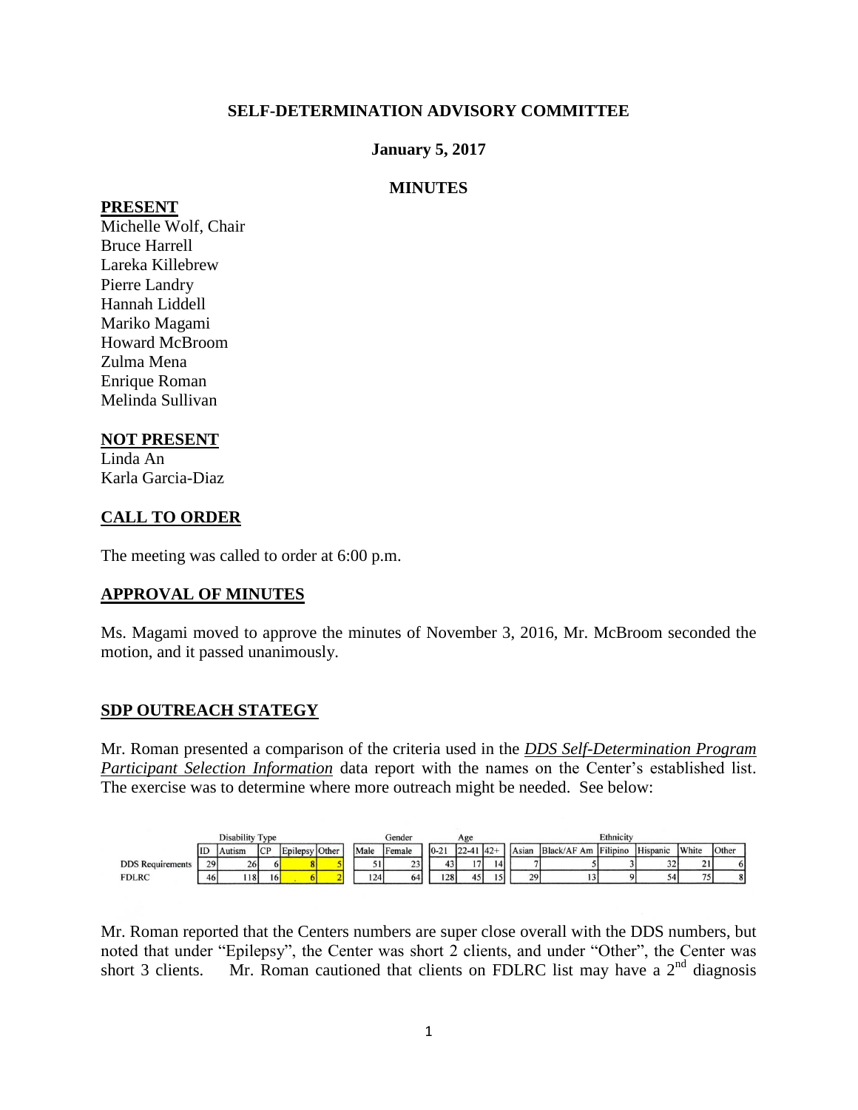### **SELF-DETERMINATION ADVISORY COMMITTEE**

#### **January 5, 2017**

#### **MINUTES**

#### **PRESENT**

Michelle Wolf, Chair Bruce Harrell Lareka Killebrew Pierre Landry Hannah Liddell Mariko Magami Howard McBroom Zulma Mena Enrique Roman Melinda Sullivan

#### **NOT PRESENT**

Linda An Karla Garcia-Diaz

### **CALL TO ORDER**

The meeting was called to order at 6:00 p.m.

#### **APPROVAL OF MINUTES**

Ms. Magami moved to approve the minutes of November 3, 2016, Mr. McBroom seconded the motion, and it passed unanimously.

#### **SDP OUTREACH STATEGY**

Mr. Roman presented a comparison of the criteria used in the *DDS Self-Determination Program Participant Selection Information* data report with the names on the Center's established list. The exercise was to determine where more outreach might be needed. See below:

|                         | Disability Type |           |            |                |  | Gender<br>Age |                    |          | Ethnicity       |            |       |                      |  |                 |       |       |
|-------------------------|-----------------|-----------|------------|----------------|--|---------------|--------------------|----------|-----------------|------------|-------|----------------------|--|-----------------|-------|-------|
|                         | ID              | Autism    | <b>ICP</b> | Epilepsy Other |  | Male          | Female             | $0 - 21$ | $22-41$ $ 42+ $ |            | Asian | Black/AF Am Filipino |  | <b>Hispanic</b> | White | Other |
| <b>DDS</b> Requirements | 29              | <b>26</b> |            |                |  |               | $\mathbf{a}$<br>23 | 43       | 17              | 14         |       |                      |  | 32              | 21    |       |
| <b>FDLRC</b>            | 46              | 18        | 16         |                |  | 124           | 64                 | 128      | 45              | $\epsilon$ | 29    |                      |  | 54              | 75    | 8     |

Mr. Roman reported that the Centers numbers are super close overall with the DDS numbers, but noted that under "Epilepsy", the Center was short 2 clients, and under "Other", the Center was short 3 clients. Mr. Roman cautioned that clients on FDLRC list may have a  $2<sup>nd</sup>$  diagnosis